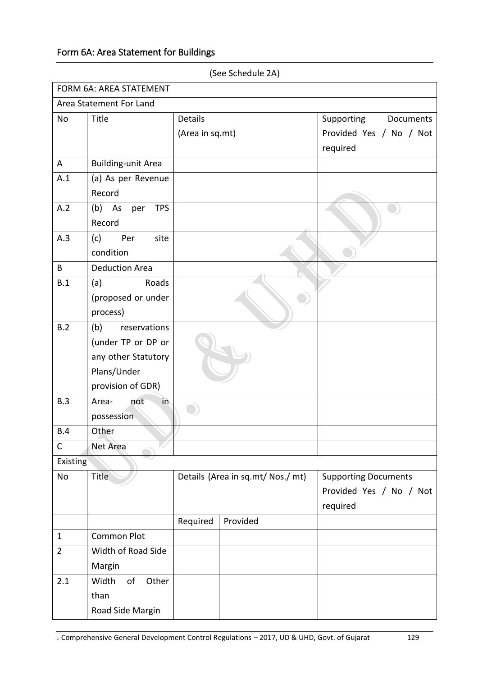## Form 6A: Area Statement for Buildings

|                         | FORM 6A: AREA STATEMENT   |                                   |          |                             |  |  |  |  |
|-------------------------|---------------------------|-----------------------------------|----------|-----------------------------|--|--|--|--|
| Area Statement For Land |                           |                                   |          |                             |  |  |  |  |
| <b>No</b>               | Title                     | <b>Details</b>                    |          | Supporting Documents        |  |  |  |  |
|                         |                           | (Area in sq.mt)                   |          | Provided Yes / No / Not     |  |  |  |  |
|                         |                           |                                   |          | required                    |  |  |  |  |
| A                       | <b>Building-unit Area</b> |                                   |          |                             |  |  |  |  |
| A.1                     | (a) As per Revenue        |                                   |          |                             |  |  |  |  |
|                         | Record                    |                                   |          |                             |  |  |  |  |
| A.2                     | <b>TPS</b><br>(b) As per  |                                   |          |                             |  |  |  |  |
|                         | Record                    |                                   |          |                             |  |  |  |  |
| A.3                     | Per<br>site<br>(c)        |                                   |          |                             |  |  |  |  |
|                         | condition                 |                                   |          |                             |  |  |  |  |
| B                       | <b>Deduction Area</b>     |                                   |          |                             |  |  |  |  |
| B.1                     | Roads<br>(a)              |                                   |          |                             |  |  |  |  |
|                         | (proposed or under        |                                   |          |                             |  |  |  |  |
|                         | process)                  |                                   |          |                             |  |  |  |  |
| B.2                     | (b)<br>reservations       |                                   |          |                             |  |  |  |  |
|                         | (under TP or DP or        |                                   |          |                             |  |  |  |  |
|                         | any other Statutory       |                                   |          |                             |  |  |  |  |
|                         | Plans/Under               |                                   |          |                             |  |  |  |  |
|                         | provision of GDR)         |                                   |          |                             |  |  |  |  |
| B.3                     | not<br>in<br>Area-        |                                   |          |                             |  |  |  |  |
|                         | possession                |                                   |          |                             |  |  |  |  |
| B.4                     | Other                     |                                   |          |                             |  |  |  |  |
| C                       | Net Area                  |                                   |          |                             |  |  |  |  |
| Existing                |                           |                                   |          |                             |  |  |  |  |
| No                      | <b>Title</b>              | Details (Area in sq.mt/ Nos./ mt) |          | <b>Supporting Documents</b> |  |  |  |  |
|                         |                           |                                   |          | Provided Yes / No / Not     |  |  |  |  |
|                         |                           |                                   |          | required                    |  |  |  |  |
|                         |                           | Required                          | Provided |                             |  |  |  |  |
| $\mathbf{1}$            | <b>Common Plot</b>        |                                   |          |                             |  |  |  |  |
| $\overline{2}$          | Width of Road Side        |                                   |          |                             |  |  |  |  |
|                         | Margin                    |                                   |          |                             |  |  |  |  |
| 2.1                     | of<br>Other<br>Width      |                                   |          |                             |  |  |  |  |
|                         | than                      |                                   |          |                             |  |  |  |  |
|                         | Road Side Margin          |                                   |          |                             |  |  |  |  |

(See Schedule 2A)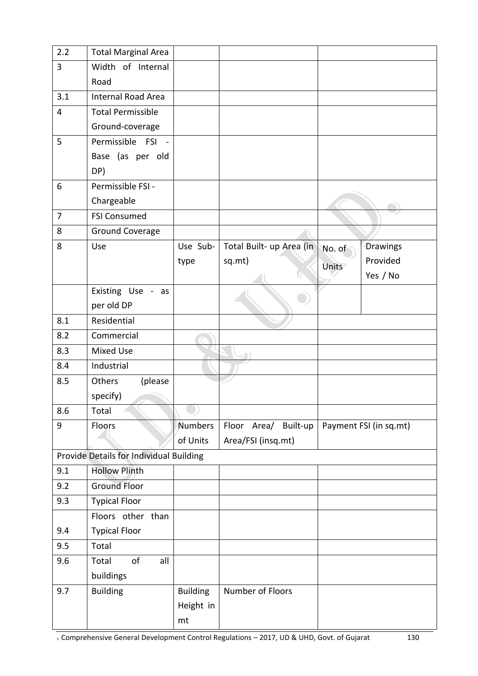| 2.2                     | <b>Total Marginal Area</b>              |                 |                          |        |                        |
|-------------------------|-----------------------------------------|-----------------|--------------------------|--------|------------------------|
| $\overline{3}$          | Width of Internal                       |                 |                          |        |                        |
|                         | Road                                    |                 |                          |        |                        |
| 3.1                     | <b>Internal Road Area</b>               |                 |                          |        |                        |
| $\overline{\mathbf{4}}$ | <b>Total Permissible</b>                |                 |                          |        |                        |
|                         | Ground-coverage                         |                 |                          |        |                        |
| 5                       | Permissible FSI<br>$\sim$               |                 |                          |        |                        |
|                         | Base (as per old                        |                 |                          |        |                        |
|                         | DP)                                     |                 |                          |        |                        |
| 6                       | Permissible FSI -                       |                 |                          |        |                        |
|                         | Chargeable                              |                 |                          |        |                        |
| $\overline{7}$          | <b>FSI Consumed</b>                     |                 |                          |        |                        |
| 8                       | <b>Ground Coverage</b>                  |                 |                          |        |                        |
| 8                       | Use                                     | Use Sub-        | Total Built- up Area (in | No. of | Drawings               |
|                         |                                         | type            | sq.mt)                   | Units  | Provided               |
|                         |                                         |                 |                          |        | Yes / No               |
|                         | Existing Use - as                       |                 |                          |        |                        |
|                         | per old DP                              |                 |                          |        |                        |
| 8.1                     | Residential                             |                 |                          |        |                        |
| 8.2                     | Commercial                              |                 |                          |        |                        |
| 8.3                     | <b>Mixed Use</b>                        |                 |                          |        |                        |
| 8.4                     | Industrial                              |                 |                          |        |                        |
| 8.5                     | Others<br>(please                       |                 |                          |        |                        |
|                         | specify)                                |                 |                          |        |                        |
| 8.6                     | Total                                   |                 |                          |        |                        |
| 9                       | Floors                                  | Numbers         | Floor Area/<br>Built-up  |        | Payment FSI (in sq.mt) |
|                         |                                         | of Units        | Area/FSI (insq.mt)       |        |                        |
|                         | Provide Details for Individual Building |                 |                          |        |                        |
| 9.1                     | <b>Hollow Plinth</b>                    |                 |                          |        |                        |
| 9.2                     | <b>Ground Floor</b>                     |                 |                          |        |                        |
| 9.3                     | <b>Typical Floor</b>                    |                 |                          |        |                        |
|                         | Floors other than                       |                 |                          |        |                        |
| 9.4                     | <b>Typical Floor</b>                    |                 |                          |        |                        |
| 9.5                     | Total                                   |                 |                          |        |                        |
| 9.6                     | of<br>Total<br>all                      |                 |                          |        |                        |
|                         | buildings                               |                 |                          |        |                        |
| 9.7                     | <b>Building</b>                         | <b>Building</b> | Number of Floors         |        |                        |
|                         |                                         | Height in       |                          |        |                        |
|                         |                                         | mt              |                          |        |                        |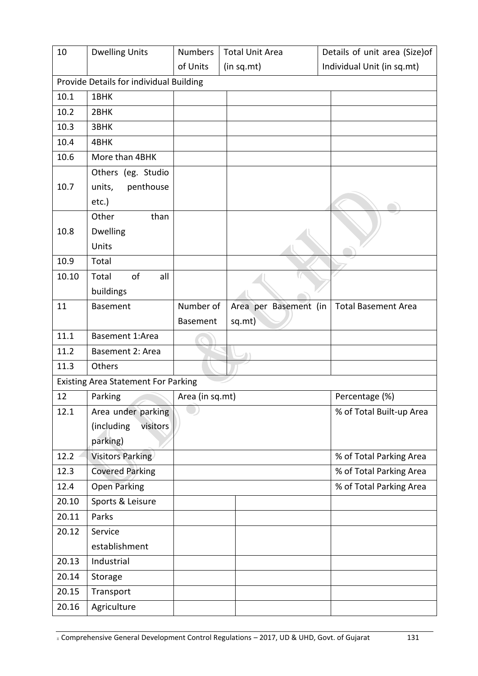| 10                                      | <b>Dwelling Units</b>                      | <b>Numbers</b>  | <b>Total Unit Area</b> | Details of unit area (Size)of |  |  |  |
|-----------------------------------------|--------------------------------------------|-----------------|------------------------|-------------------------------|--|--|--|
|                                         |                                            | of Units        | (in sq.mt)             | Individual Unit (in sq.mt)    |  |  |  |
| Provide Details for individual Building |                                            |                 |                        |                               |  |  |  |
| 10.1                                    | 1BHK                                       |                 |                        |                               |  |  |  |
| 10.2                                    | 2BHK                                       |                 |                        |                               |  |  |  |
| 10.3                                    | 3BHK                                       |                 |                        |                               |  |  |  |
| 10.4                                    | 4BHK                                       |                 |                        |                               |  |  |  |
| 10.6                                    | More than 4BHK                             |                 |                        |                               |  |  |  |
|                                         | Others (eg. Studio                         |                 |                        |                               |  |  |  |
| 10.7                                    | units,<br>penthouse                        |                 |                        |                               |  |  |  |
|                                         | $etc.$ )                                   |                 |                        |                               |  |  |  |
|                                         | Other<br>than                              |                 |                        |                               |  |  |  |
| 10.8                                    | <b>Dwelling</b>                            |                 |                        |                               |  |  |  |
|                                         | Units                                      |                 |                        |                               |  |  |  |
| 10.9                                    | Total                                      |                 |                        |                               |  |  |  |
| 10.10                                   | of<br>all<br>Total                         |                 |                        |                               |  |  |  |
|                                         | buildings                                  |                 |                        |                               |  |  |  |
| 11                                      | <b>Basement</b>                            | Number of       | Area per Basement (in  | <b>Total Basement Area</b>    |  |  |  |
|                                         |                                            | Basement        | sq.mt)                 |                               |  |  |  |
| 11.1                                    | Basement 1:Area                            |                 |                        |                               |  |  |  |
| 11.2                                    | Basement 2: Area                           |                 |                        |                               |  |  |  |
| 11.3                                    | Others                                     |                 |                        |                               |  |  |  |
|                                         | <b>Existing Area Statement For Parking</b> |                 |                        |                               |  |  |  |
| 12                                      | Parking                                    | Area (in sq.mt) |                        | Percentage (%)                |  |  |  |
| 12.1                                    | Area under parking                         |                 |                        | % of Total Built-up Area      |  |  |  |
|                                         | (including<br>visitors                     |                 |                        |                               |  |  |  |
|                                         | parking)                                   |                 |                        |                               |  |  |  |
| 12.2                                    | <b>Visitors Parking</b>                    |                 |                        | % of Total Parking Area       |  |  |  |
| 12.3                                    | <b>Covered Parking</b>                     |                 |                        | % of Total Parking Area       |  |  |  |
| 12.4                                    | <b>Open Parking</b>                        |                 |                        | % of Total Parking Area       |  |  |  |
| 20.10                                   | Sports & Leisure                           |                 |                        |                               |  |  |  |
| 20.11                                   | Parks                                      |                 |                        |                               |  |  |  |
| 20.12                                   | Service                                    |                 |                        |                               |  |  |  |
|                                         | establishment                              |                 |                        |                               |  |  |  |
| 20.13                                   | Industrial                                 |                 |                        |                               |  |  |  |
| 20.14                                   | Storage                                    |                 |                        |                               |  |  |  |
| 20.15                                   | Transport                                  |                 |                        |                               |  |  |  |
| 20.16                                   | Agriculture                                |                 |                        |                               |  |  |  |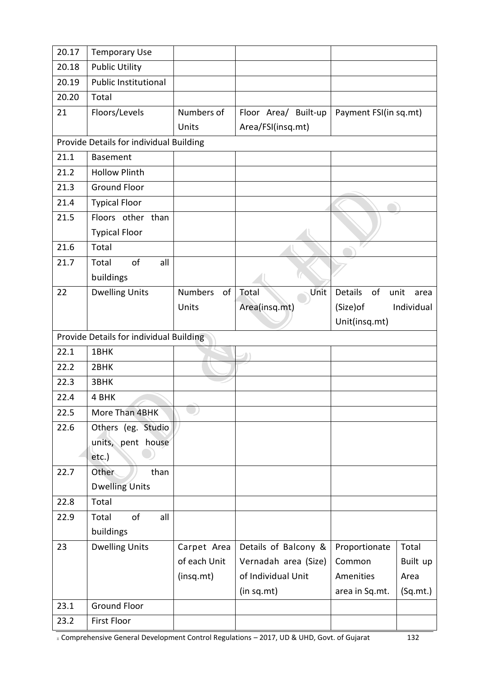| 20.17 | <b>Temporary Use</b>                    |                      |                      |                       |              |
|-------|-----------------------------------------|----------------------|----------------------|-----------------------|--------------|
| 20.18 | <b>Public Utility</b>                   |                      |                      |                       |              |
| 20.19 | Public Institutional                    |                      |                      |                       |              |
| 20.20 | Total                                   |                      |                      |                       |              |
| 21    | Floors/Levels                           | Numbers of           | Floor Area/ Built-up | Payment FSI(in sq.mt) |              |
|       |                                         | Units                | Area/FSI(insq.mt)    |                       |              |
|       | Provide Details for individual Building |                      |                      |                       |              |
| 21.1  | <b>Basement</b>                         |                      |                      |                       |              |
| 21.2  | <b>Hollow Plinth</b>                    |                      |                      |                       |              |
| 21.3  | <b>Ground Floor</b>                     |                      |                      |                       |              |
| 21.4  | <b>Typical Floor</b>                    |                      |                      |                       |              |
| 21.5  | Floors other than                       |                      |                      |                       |              |
|       | <b>Typical Floor</b>                    |                      |                      |                       |              |
| 21.6  | Total                                   |                      |                      |                       |              |
| 21.7  | of<br>Total<br>all                      |                      |                      |                       |              |
|       | buildings                               |                      |                      |                       |              |
| 22    | <b>Dwelling Units</b>                   | <b>Numbers</b><br>of | Unit<br>Total        | <b>Details</b><br>of  | unit<br>area |
|       |                                         | Units                | Area(insq.mt)        | (Size) of             | Individual   |
|       |                                         |                      |                      | Unit(insq.mt)         |              |
|       | Provide Details for individual Building |                      |                      |                       |              |
| 22.1  | 1BHK                                    |                      |                      |                       |              |
| 22.2  | 2BHK                                    |                      |                      |                       |              |
| 22.3  | 3BHK                                    |                      |                      |                       |              |
| 22.4  | 4 BHK                                   |                      |                      |                       |              |
| 22.5  | More Than 4BHK                          |                      |                      |                       |              |
| 22.6  | Others (eg. Studio                      |                      |                      |                       |              |
|       | units, pent house                       |                      |                      |                       |              |
|       | etc.)                                   |                      |                      |                       |              |
| 22.7  | Other<br>than                           |                      |                      |                       |              |
|       | <b>Dwelling Units</b>                   |                      |                      |                       |              |
| 22.8  | Total                                   |                      |                      |                       |              |
| 22.9  | of<br>all<br>Total                      |                      |                      |                       |              |
|       | buildings                               |                      |                      |                       |              |
| 23    | <b>Dwelling Units</b>                   | Carpet Area          | Details of Balcony & | Proportionate         | Total        |
|       |                                         | of each Unit         | Vernadah area (Size) | Common                | Built up     |
|       |                                         | (insq.mt)            | of Individual Unit   | Amenities             | Area         |
|       |                                         |                      | (in sq.mt)           | area in Sq.mt.        | (Sq.mt.)     |
| 23.1  |                                         |                      |                      |                       |              |
|       | <b>Ground Floor</b>                     |                      |                      |                       |              |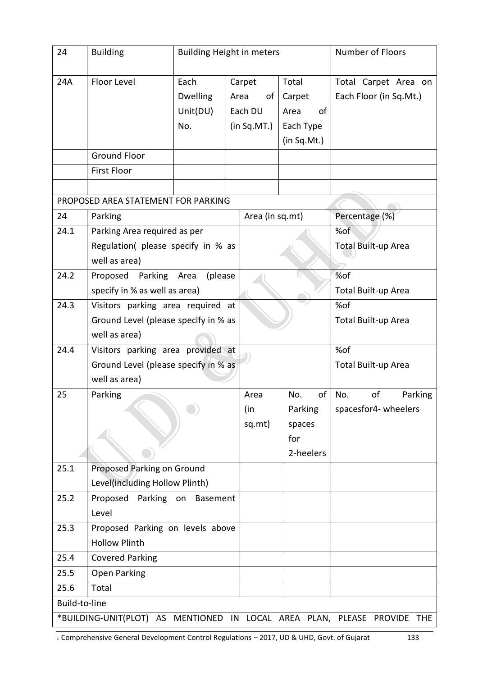| 24                                                                          | <b>Building</b>                                                                            | <b>Building Height in meters</b>           |                                                |                 |                                                           | <b>Number of Floors</b>                        |  |
|-----------------------------------------------------------------------------|--------------------------------------------------------------------------------------------|--------------------------------------------|------------------------------------------------|-----------------|-----------------------------------------------------------|------------------------------------------------|--|
| 24A                                                                         | Floor Level                                                                                | Each<br><b>Dwelling</b><br>Unit(DU)<br>No. | Carpet<br>of<br>Area<br>Each DU<br>(in Sq.MT.) |                 | Total<br>Carpet<br>0f<br>Area<br>Each Type<br>(in Sq.Mt.) | Total Carpet Area on<br>Each Floor (in Sq.Mt.) |  |
|                                                                             | <b>Ground Floor</b>                                                                        |                                            |                                                |                 |                                                           |                                                |  |
|                                                                             | <b>First Floor</b>                                                                         |                                            |                                                |                 |                                                           |                                                |  |
|                                                                             |                                                                                            |                                            |                                                |                 |                                                           |                                                |  |
|                                                                             | PROPOSED AREA STATEMENT FOR PARKING                                                        |                                            |                                                |                 |                                                           |                                                |  |
| 24                                                                          | Parking                                                                                    |                                            |                                                | Area (in sq.mt) |                                                           | Percentage (%)                                 |  |
| 24.1                                                                        | Parking Area required as per<br>Regulation(please specify in % as<br>well as area)         |                                            |                                                |                 |                                                           | %of<br><b>Total Built-up Area</b>              |  |
| 24.2                                                                        | Proposed<br>Parking<br>(please<br>Area<br>specify in % as well as area)                    |                                            |                                                |                 |                                                           | %of<br>Total Built-up Area                     |  |
| 24.3                                                                        | Visitors parking area required at<br>Ground Level (please specify in % as<br>well as area) |                                            |                                                |                 |                                                           | %of<br>Total Built-up Area                     |  |
| 24.4                                                                        | Visitors parking area provided at<br>Ground Level (please specify in % as<br>well as area) |                                            |                                                |                 |                                                           | %of<br>Total Built-up Area                     |  |
| 25                                                                          | Parking                                                                                    |                                            |                                                | Area            | of<br>No.                                                 | of<br>No.<br>Parking                           |  |
|                                                                             |                                                                                            |                                            |                                                | (in             | Parking                                                   | spacesfor4- wheelers                           |  |
|                                                                             |                                                                                            |                                            |                                                | sq.mt)          | spaces                                                    |                                                |  |
|                                                                             |                                                                                            |                                            |                                                |                 | for                                                       |                                                |  |
|                                                                             |                                                                                            |                                            |                                                |                 | 2-heelers                                                 |                                                |  |
| 25.1                                                                        | Proposed Parking on Ground<br>Level(including Hollow Plinth)                               |                                            |                                                |                 |                                                           |                                                |  |
| 25.2                                                                        | Proposed Parking on<br>Basement<br>Level                                                   |                                            |                                                |                 |                                                           |                                                |  |
| 25.3                                                                        | Proposed Parking on levels above                                                           |                                            |                                                |                 |                                                           |                                                |  |
|                                                                             | <b>Hollow Plinth</b>                                                                       |                                            |                                                |                 |                                                           |                                                |  |
| 25.4                                                                        | <b>Covered Parking</b>                                                                     |                                            |                                                |                 |                                                           |                                                |  |
| 25.5                                                                        | <b>Open Parking</b>                                                                        |                                            |                                                |                 |                                                           |                                                |  |
| 25.6                                                                        | Total                                                                                      |                                            |                                                |                 |                                                           |                                                |  |
| Build-to-line                                                               |                                                                                            |                                            |                                                |                 |                                                           |                                                |  |
| *BUILDING-UNIT(PLOT) AS MENTIONED IN LOCAL AREA PLAN, PLEASE PROVIDE<br>THE |                                                                                            |                                            |                                                |                 |                                                           |                                                |  |

E Comprehensive General Development Control Regulations – 2017, UD & UHD, Govt. of Gujarat 133